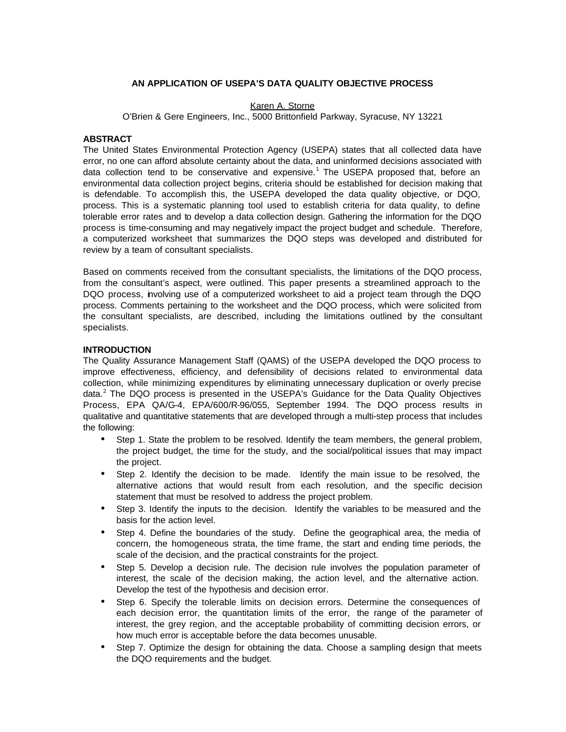# **AN APPLICATION OF USEPA'S DATA QUALITY OBJECTIVE PROCESS**

## Karen A. Storne

O'Brien & Gere Engineers, Inc., 5000 Brittonfield Parkway, Syracuse, NY 13221

## **ABSTRACT**

The United States Environmental Protection Agency (USEPA) states that all collected data have error, no one can afford absolute certainty about the data, and uninformed decisions associated with data collection tend to be conservative and expensive.<sup>1</sup> The USEPA proposed that, before an environmental data collection project begins, criteria should be established for decision making that is defendable. To accomplish this, the USEPA developed the data quality objective, or DQO, process. This is a systematic planning tool used to establish criteria for data quality, to define tolerable error rates and to develop a data collection design. Gathering the information for the DQO process is time-consuming and may negatively impact the project budget and schedule. Therefore, a computerized worksheet that summarizes the DQO steps was developed and distributed for review by a team of consultant specialists.

Based on comments received from the consultant specialists, the limitations of the DQO process, from the consultant's aspect, were outlined. This paper presents a streamlined approach to the DQO process, involving use of a computerized worksheet to aid a project team through the DQO process. Comments pertaining to the worksheet and the DQO process, which were solicited from the consultant specialists, are described, including the limitations outlined by the consultant specialists.

# **INTRODUCTION**

The Quality Assurance Management Staff (QAMS) of the USEPA developed the DQO process to improve effectiveness, efficiency, and defensibility of decisions related to environmental data collection, while minimizing expenditures by eliminating unnecessary duplication or overly precise data.<sup>2</sup> The DQO process is presented in the USEPA's Guidance for the Data Quality Objectives Process, EPA QA/G-4, EPA/600/R-96/055, September 1994. The DQO process results in qualitative and quantitative statements that are developed through a multi-step process that includes the following:

- Step 1. State the problem to be resolved. Identify the team members, the general problem, the project budget, the time for the study, and the social/political issues that may impact the project.
- Step 2. Identify the decision to be made. Identify the main issue to be resolved, the alternative actions that would result from each resolution, and the specific decision statement that must be resolved to address the project problem.
- Step 3. Identify the inputs to the decision. Identify the variables to be measured and the basis for the action level.
- Step 4. Define the boundaries of the study. Define the geographical area, the media of concern, the homogeneous strata, the time frame, the start and ending time periods, the scale of the decision, and the practical constraints for the project.
- Step 5. Develop a decision rule. The decision rule involves the population parameter of interest, the scale of the decision making, the action level, and the alternative action. Develop the test of the hypothesis and decision error.
- Step 6. Specify the tolerable limits on decision errors. Determine the consequences of each decision error, the quantitation limits of the error, the range of the parameter of interest, the grey region, and the acceptable probability of committing decision errors, or how much error is acceptable before the data becomes unusable.
- Step 7. Optimize the design for obtaining the data. Choose a sampling design that meets the DQO requirements and the budget.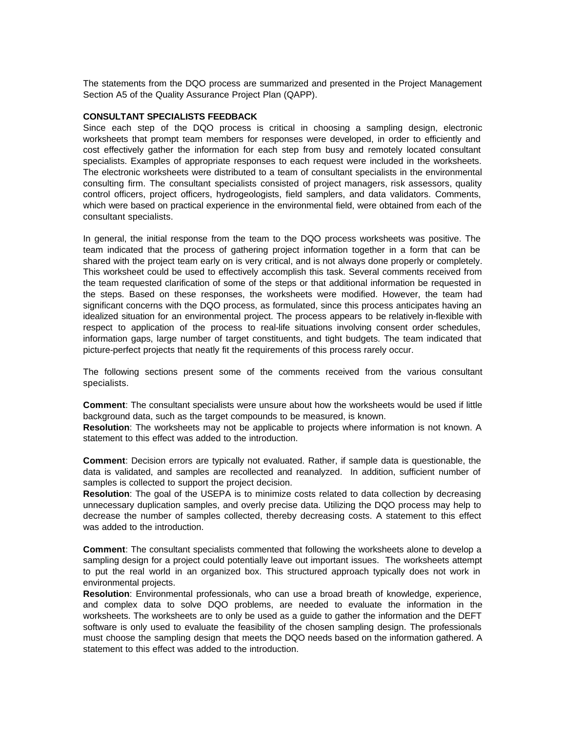The statements from the DQO process are summarized and presented in the Project Management Section A5 of the Quality Assurance Project Plan (QAPP).

## **CONSULTANT SPECIALISTS FEEDBACK**

Since each step of the DQO process is critical in choosing a sampling design, electronic worksheets that prompt team members for responses were developed, in order to efficiently and cost effectively gather the information for each step from busy and remotely located consultant specialists. Examples of appropriate responses to each request were included in the worksheets. The electronic worksheets were distributed to a team of consultant specialists in the environmental consulting firm. The consultant specialists consisted of project managers, risk assessors, quality control officers, project officers, hydrogeologists, field samplers, and data validators. Comments, which were based on practical experience in the environmental field, were obtained from each of the consultant specialists.

In general, the initial response from the team to the DQO process worksheets was positive. The team indicated that the process of gathering project information together in a form that can be shared with the project team early on is very critical, and is not always done properly or completely. This worksheet could be used to effectively accomplish this task. Several comments received from the team requested clarification of some of the steps or that additional information be requested in the steps. Based on these responses, the worksheets were modified. However, the team had significant concerns with the DQO process, as formulated, since this process anticipates having an idealized situation for an environmental project. The process appears to be relatively in-flexible with respect to application of the process to real-life situations involving consent order schedules, information gaps, large number of target constituents, and tight budgets. The team indicated that picture-perfect projects that neatly fit the requirements of this process rarely occur.

The following sections present some of the comments received from the various consultant specialists.

**Comment**: The consultant specialists were unsure about how the worksheets would be used if little background data, such as the target compounds to be measured, is known.

**Resolution**: The worksheets may not be applicable to projects where information is not known. A statement to this effect was added to the introduction.

**Comment**: Decision errors are typically not evaluated. Rather, if sample data is questionable, the data is validated, and samples are recollected and reanalyzed. In addition, sufficient number of samples is collected to support the project decision.

**Resolution**: The goal of the USEPA is to minimize costs related to data collection by decreasing unnecessary duplication samples, and overly precise data. Utilizing the DQO process may help to decrease the number of samples collected, thereby decreasing costs. A statement to this effect was added to the introduction.

**Comment**: The consultant specialists commented that following the worksheets alone to develop a sampling design for a project could potentially leave out important issues. The worksheets attempt to put the real world in an organized box. This structured approach typically does not work in environmental projects.

**Resolution**: Environmental professionals, who can use a broad breath of knowledge, experience, and complex data to solve DQO problems, are needed to evaluate the information in the worksheets. The worksheets are to only be used as a guide to gather the information and the DEFT software is only used to evaluate the feasibility of the chosen sampling design. The professionals must choose the sampling design that meets the DQO needs based on the information gathered. A statement to this effect was added to the introduction.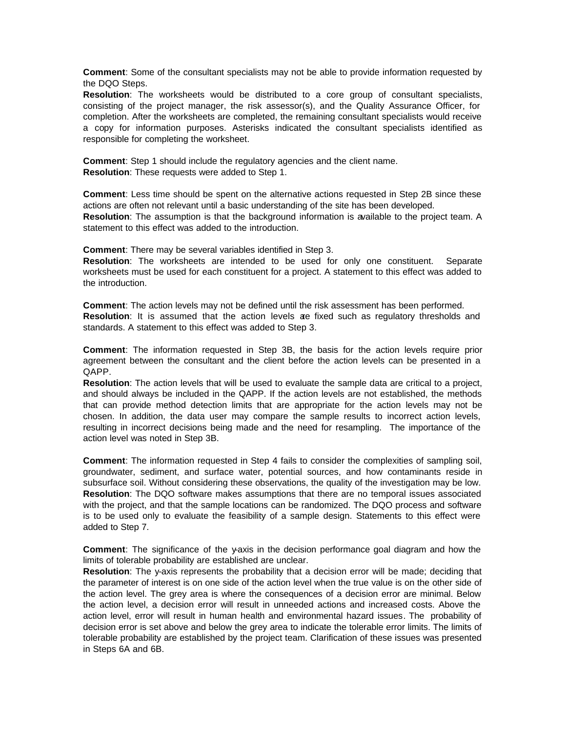**Comment**: Some of the consultant specialists may not be able to provide information requested by the DQO Steps.

**Resolution**: The worksheets would be distributed to a core group of consultant specialists, consisting of the project manager, the risk assessor(s), and the Quality Assurance Officer, for completion. After the worksheets are completed, the remaining consultant specialists would receive a copy for information purposes. Asterisks indicated the consultant specialists identified as responsible for completing the worksheet.

**Comment**: Step 1 should include the regulatory agencies and the client name. **Resolution**: These requests were added to Step 1.

**Comment**: Less time should be spent on the alternative actions requested in Step 2B since these actions are often not relevant until a basic understanding of the site has been developed. **Resolution**: The assumption is that the background information is available to the project team. A statement to this effect was added to the introduction.

**Comment**: There may be several variables identified in Step 3.

**Resolution**: The worksheets are intended to be used for only one constituent. Separate worksheets must be used for each constituent for a project. A statement to this effect was added to the introduction.

**Comment**: The action levels may not be defined until the risk assessment has been performed. **Resolution**: It is assumed that the action levels ae fixed such as regulatory thresholds and standards. A statement to this effect was added to Step 3.

**Comment**: The information requested in Step 3B, the basis for the action levels require prior agreement between the consultant and the client before the action levels can be presented in a QAPP.

**Resolution**: The action levels that will be used to evaluate the sample data are critical to a project, and should always be included in the QAPP. If the action levels are not established, the methods that can provide method detection limits that are appropriate for the action levels may not be chosen. In addition, the data user may compare the sample results to incorrect action levels, resulting in incorrect decisions being made and the need for resampling. The importance of the action level was noted in Step 3B.

**Comment**: The information requested in Step 4 fails to consider the complexities of sampling soil, groundwater, sediment, and surface water, potential sources, and how contaminants reside in subsurface soil. Without considering these observations, the quality of the investigation may be low. **Resolution**: The DQO software makes assumptions that there are no temporal issues associated with the project, and that the sample locations can be randomized. The DQO process and software is to be used only to evaluate the feasibility of a sample design. Statements to this effect were added to Step 7.

**Comment**: The significance of the y-axis in the decision performance goal diagram and how the limits of tolerable probability are established are unclear.

**Resolution**: The y-axis represents the probability that a decision error will be made; deciding that the parameter of interest is on one side of the action level when the true value is on the other side of the action level. The grey area is where the consequences of a decision error are minimal. Below the action level, a decision error will result in unneeded actions and increased costs. Above the action level, error will result in human health and environmental hazard issues. The probability of decision error is set above and below the grey area to indicate the tolerable error limits. The limits of tolerable probability are established by the project team. Clarification of these issues was presented in Steps 6A and 6B.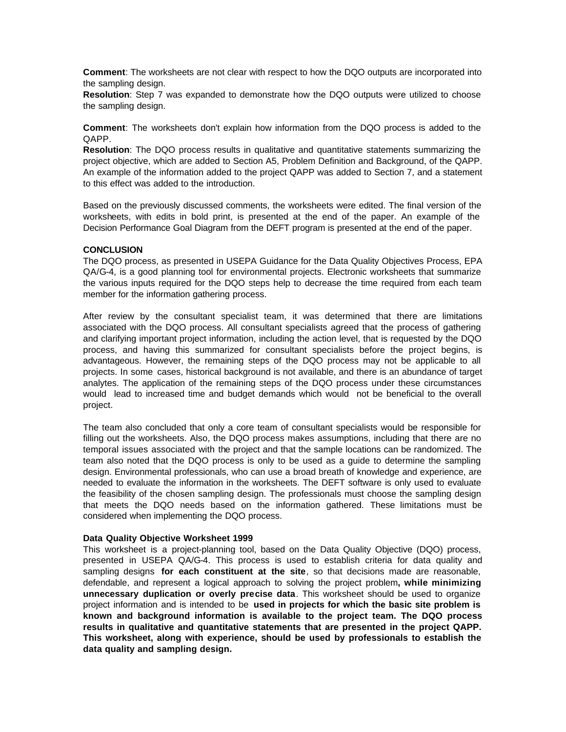**Comment**: The worksheets are not clear with respect to how the DQO outputs are incorporated into the sampling design.

**Resolution**: Step 7 was expanded to demonstrate how the DQO outputs were utilized to choose the sampling design.

**Comment**: The worksheets don't explain how information from the DQO process is added to the QAPP.

**Resolution**: The DQO process results in qualitative and quantitative statements summarizing the project objective, which are added to Section A5, Problem Definition and Background, of the QAPP. An example of the information added to the project QAPP was added to Section 7, and a statement to this effect was added to the introduction.

Based on the previously discussed comments, the worksheets were edited. The final version of the worksheets, with edits in bold print, is presented at the end of the paper. An example of the Decision Performance Goal Diagram from the DEFT program is presented at the end of the paper.

### **CONCLUSION**

The DQO process, as presented in USEPA Guidance for the Data Quality Objectives Process, EPA QA/G-4, is a good planning tool for environmental projects. Electronic worksheets that summarize the various inputs required for the DQO steps help to decrease the time required from each team member for the information gathering process.

After review by the consultant specialist team, it was determined that there are limitations associated with the DQO process. All consultant specialists agreed that the process of gathering and clarifying important project information, including the action level, that is requested by the DQO process, and having this summarized for consultant specialists before the project begins, is advantageous. However, the remaining steps of the DQO process may not be applicable to all projects. In some cases, historical background is not available, and there is an abundance of target analytes. The application of the remaining steps of the DQO process under these circumstances would lead to increased time and budget demands which would not be beneficial to the overall project.

The team also concluded that only a core team of consultant specialists would be responsible for filling out the worksheets. Also, the DQO process makes assumptions, including that there are no temporal issues associated with the project and that the sample locations can be randomized. The team also noted that the DQO process is only to be used as a guide to determine the sampling design. Environmental professionals, who can use a broad breath of knowledge and experience, are needed to evaluate the information in the worksheets. The DEFT software is only used to evaluate the feasibility of the chosen sampling design. The professionals must choose the sampling design that meets the DQO needs based on the information gathered. These limitations must be considered when implementing the DQO process.

### **Data Quality Objective Worksheet 1999**

This worksheet is a project-planning tool, based on the Data Quality Objective (DQO) process, presented in USEPA QA/G-4. This process is used to establish criteria for data quality and sampling designs **for each constituent at the site**, so that decisions made are reasonable, defendable, and represent a logical approach to solving the project problem**, while minimizing unnecessary duplication or overly precise data**. This worksheet should be used to organize project information and is intended to be **used in projects for which the basic site problem is known and background information is available to the project team. The DQO process results in qualitative and quantitative statements that are presented in the project QAPP. This worksheet, along with experience, should be used by professionals to establish the data quality and sampling design.**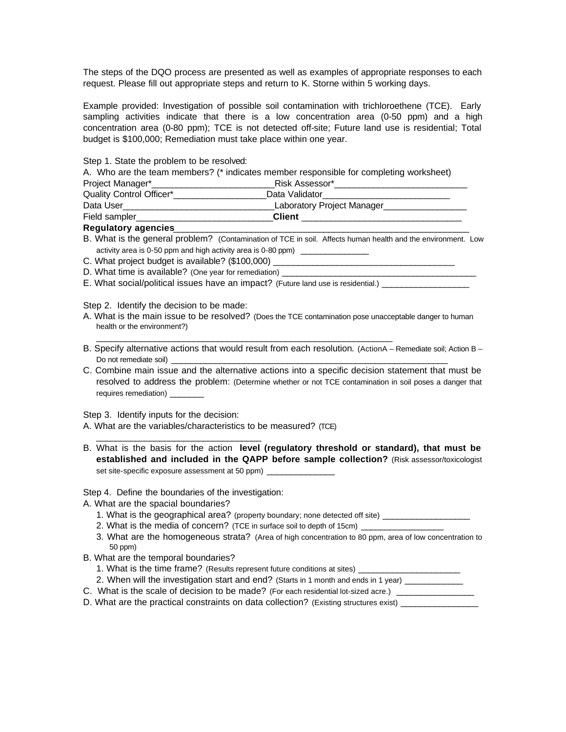The steps of the DQO process are presented as well as examples of appropriate responses to each request. Please fill out appropriate steps and return to K. Storne within 5 working days.

Example provided: Investigation of possible soil contamination with trichloroethene (TCE). Early sampling activities indicate that there is a low concentration area (0-50 ppm) and a high concentration area (0-80 ppm); TCE is not detected off-site; Future land use is residential; Total budget is \$100,000; Remediation must take place within one year.

#### Step 1. State the problem to be resolved:

A. Who are the team members? (\* indicates member responsible for completing worksheet)

| Project Manager*         | Risk Assessor*             |
|--------------------------|----------------------------|
| Quality Control Officer* | Data Validator             |
| Data User                | Laboratory Project Manager |
| Field sampler            | <b>Client</b>              |
| Desulatent essesias      |                            |

#### **Regulatory agencies**\_\_\_\_\_\_\_\_\_\_\_\_\_\_\_\_\_\_\_\_\_\_\_\_\_\_\_\_\_\_\_\_\_\_\_\_\_\_\_\_\_\_\_\_\_\_\_\_\_\_\_\_\_\_\_\_\_\_\_\_\_

B. What is the general problem? (Contamination of TCE in soil. Affects human health and the environment. Low activity area is 0-50 ppm and high activity area is 0-80 ppm)

C. What project budget is available? (\$100,000)

D. What time is available? (One year for remediation)

E. What social/political issues have an impact? (Future land use is residential.)

\_\_\_\_\_\_\_\_\_\_\_\_\_\_\_\_\_\_\_\_\_\_\_\_\_\_\_\_\_\_\_\_\_\_\_\_\_\_\_\_\_\_\_\_\_\_\_\_\_\_\_\_\_\_\_\_\_\_\_\_\_

Step 2. Identify the decision to be made:

- A. What is the main issue to be resolved? (Does the TCE contamination pose unacceptable danger to human health or the environment?)
- B. Specify alternative actions that would result from each resolution*.* (ActionA Remediate soil; Action B Do not remediate soil)
- C. Combine main issue and the alternative actions into a specific decision statement that must be resolved to address the problem: (Determine whether or not TCE contamination in soil poses a danger that requires remediation)

Step 3. Identify inputs for the decision:

- A. What are the variables/characteristics to be measured? (TCE)
- B. What is the basis for the action **level (regulatory threshold or standard), that must be established and included in the QAPP before sample collection?** (Risk assessor/toxicologist set site-specific exposure assessment at 50 ppm)

### Step 4. Define the boundaries of the investigation:

\_\_\_\_\_\_\_\_\_\_\_\_\_\_\_\_\_\_\_\_\_\_\_\_\_\_\_\_\_\_\_\_\_\_

A. What are the spacial boundaries?

- 1. What is the geographical area? (property boundary; none detected off site)
- 2. What is the media of concern? (TCE in surface soil to depth of 15cm)
- 3. What are the homogeneous strata? (Area of high concentration to 80 ppm, area of low concentration to 50 ppm)
- B. What are the temporal boundaries?
	- 1. What is the time frame? (Results represent future conditions at sites)
	- 2. When will the investigation start and end? (Starts in 1 month and ends in 1 year) \_\_\_\_\_\_\_\_\_\_\_\_
- C. What is the scale of decision to be made? (For each residential lot-sized acre.)
- D. What are the practical constraints on data collection? (Existing structures exist)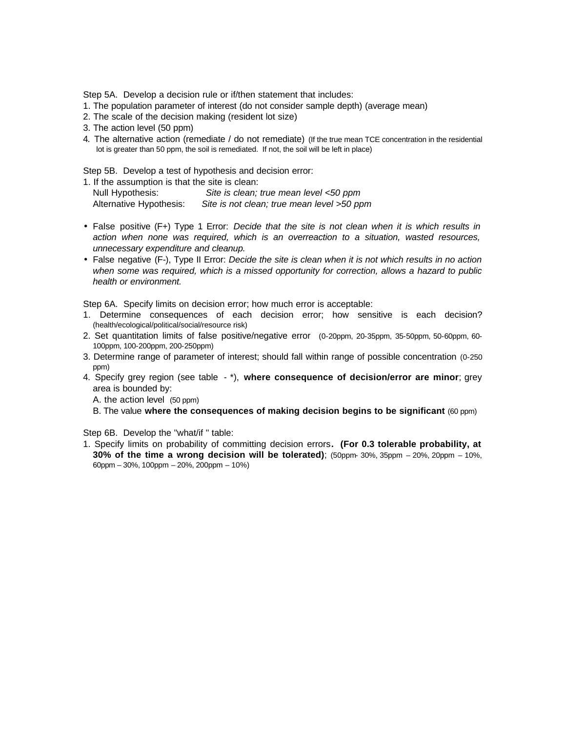Step 5A. Develop a decision rule or if/then statement that includes:

- 1. The population parameter of interest (do not consider sample depth) (average mean)
- 2. The scale of the decision making (resident lot size)
- 3. The action level (50 ppm)
- 4*.* The alternative action (remediate / do not remediate) (If the true mean TCE concentration in the residential lot is greater than 50 ppm, the soil is remediated. If not, the soil will be left in place)

Step 5B. Develop a test of hypothesis and decision error:

| 1. If the assumption is that the site is clean: |                                            |
|-------------------------------------------------|--------------------------------------------|
| Null Hypothesis:                                | Site is clean; true mean level <50 ppm     |
| Alternative Hypothesis:                         | Site is not clean; true mean level >50 ppm |

- False positive (F+) Type 1 Error: *Decide that the site is not clean when it is which results in action when none was required, which is an overreaction to a situation, wasted resources, unnecessary expenditure and cleanup.*
- False negative (F-), Type II Error: *Decide the site is clean when it is not which results in no action when some was required, which is a missed opportunity for correction, allows a hazard to public health or environment.*

Step 6A. Specify limits on decision error; how much error is acceptable:

- 1. Determine consequences of each decision error; how sensitive is each decision? (health/ecological/political/social/resource risk)
- 2. Set quantitation limits of false positive/negative error (0-20ppm, 20-35ppm, 35-50ppm, 50-60ppm, 60- 100ppm, 100-200ppm, 200-250ppm)
- 3. Determine range of parameter of interest; should fall within range of possible concentration (0-250 ppm)
- 4. Specify grey region (see table \*), **where consequence of decision/error are minor**; grey area is bounded by:
	- A. the action level (50 ppm)
	- B. The value **where the consequences of making decision begins to be significant** (60 ppm)

Step 6B. Develop the "what/if " table:

1. Specify limits on probability of committing decision errors**. (For 0.3 tolerable probability, at 30% of the time a wrong decision will be tolerated)**; (50ppm- 30%, 35ppm – 20%, 20ppm – 10%, 60ppm – 30%, 100ppm – 20%, 200ppm – 10%)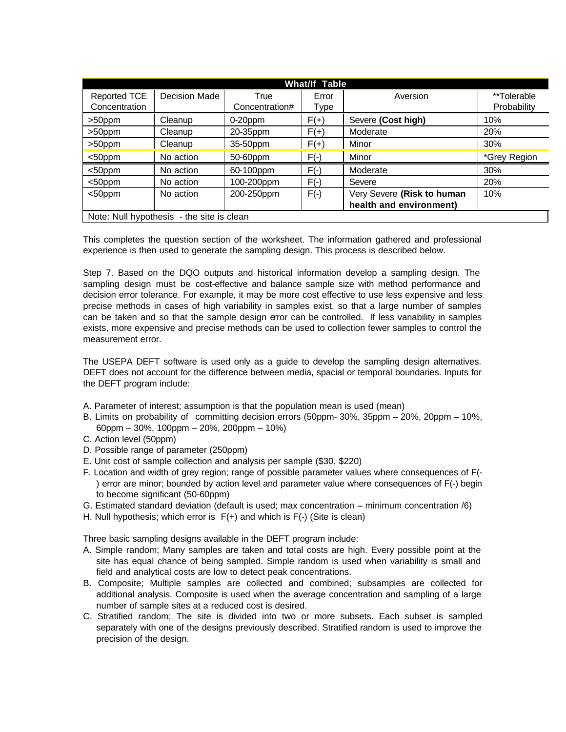| <b>What/If Table</b>                      |                      |                |        |                            |              |  |  |
|-------------------------------------------|----------------------|----------------|--------|----------------------------|--------------|--|--|
| <b>Reported TCE</b>                       | <b>Decision Made</b> | True           | Error  | Aversion                   | **Tolerable  |  |  |
| Concentration                             |                      | Concentration# | Type   |                            | Probability  |  |  |
| $>50$ ppm                                 | Cleanup              | $0-20$ ppm     | $F(+)$ | Severe (Cost high)         | 10%          |  |  |
| $>50$ ppm                                 | Cleanup              | 20-35ppm       | $F(+)$ | Moderate                   | 20%          |  |  |
| >50ppm                                    | Cleanup              | 35-50ppm       | $F(+)$ | Minor                      | 30%          |  |  |
| $50ppm$                                   | No action            | 50-60ppm       | $F(-)$ | Minor                      | *Grey Region |  |  |
| $50ppm$                                   | No action            | 60-100ppm      | $F(-)$ | Moderate                   | 30%          |  |  |
| $50$ ppm                                  | No action            | 100-200ppm     | $F(-)$ | Severe                     | 20%          |  |  |
| $50ppm$                                   | No action            | 200-250ppm     | $F(-)$ | Very Severe (Risk to human | 10%          |  |  |
|                                           |                      |                |        | health and environment)    |              |  |  |
| Note: Null hypothesis - the site is clean |                      |                |        |                            |              |  |  |

This completes the question section of the worksheet. The information gathered and professional experience is then used to generate the sampling design. This process is described below.

Step 7. Based on the DQO outputs and historical information develop a sampling design. The sampling design must be cost-effective and balance sample size with method performance and decision error tolerance. For example, it may be more cost effective to use less expensive and less precise methods in cases of high variability in samples exist, so that a large number of samples can be taken and so that the sample design error can be controlled. If less variability in samples exists, more expensive and precise methods can be used to collection fewer samples to control the measurement error.

The USEPA DEFT software is used only as a guide to develop the sampling design alternatives. DEFT does not account for the difference between media, spacial or temporal boundaries. Inputs for the DEFT program include:

- A. Parameter of interest; assumption is that the population mean is used (mean)
- B. Limits on probability of committing decision errors (50ppm- 30%, 35ppm 20%, 20ppm 10%, 60ppm – 30%, 100ppm – 20%, 200ppm – 10%)
- C. Action level (50ppm)
- D. Possible range of parameter (250ppm)
- E. Unit cost of sample collection and analysis per sample (\$30, \$220)
- F. Location and width of grey region; range of possible parameter values where consequences of F(- ) error are minor; bounded by action level and parameter value where consequences of F(-) begin to become significant (50-60ppm)
- G. Estimated standard deviation (default is used; max concentration minimum concentration /6)
- H. Null hypothesis; which error is  $F(+)$  and which is  $F(-)$  (Site is clean)

Three basic sampling designs available in the DEFT program include:

- A. Simple random; Many samples are taken and total costs are high. Every possible point at the site has equal chance of being sampled. Simple random is used when variability is small and field and analytical costs are low to detect peak concentrations.
- B. Composite; Multiple samples are collected and combined; subsamples are collected for additional analysis. Composite is used when the average concentration and sampling of a large number of sample sites at a reduced cost is desired.
- C. Stratified random; The site is divided into two or more subsets. Each subset is sampled separately with one of the designs previously described. Stratified random is used to improve the precision of the design.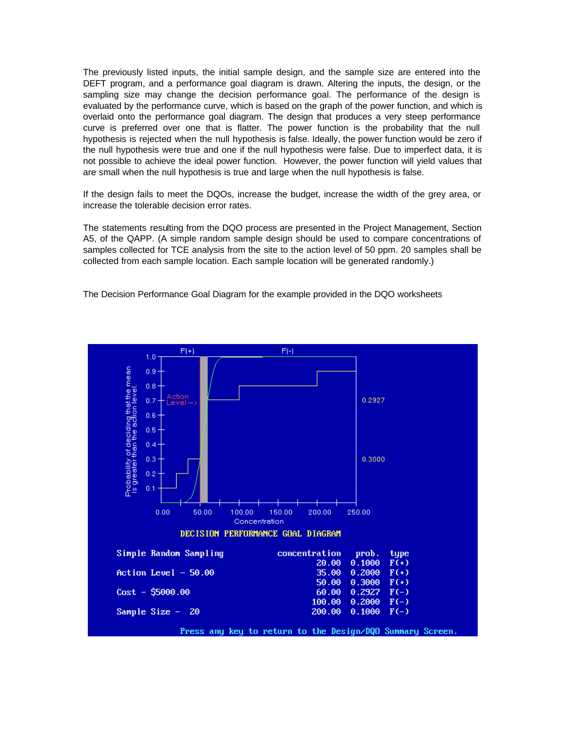The previously listed inputs, the initial sample design, and the sample size are entered into the DEFT program, and a performance goal diagram is drawn. Altering the inputs, the design, or the sampling size may change the decision performance goal. The performance of the design is evaluated by the performance curve, which is based on the graph of the power function, and which is overlaid onto the performance goal diagram. The design that produces a very steep performance curve is preferred over one that is flatter. The power function is the probability that the null hypothesis is rejected when the null hypothesis is false. Ideally, the power function would be zero if the null hypothesis were true and one if the null hypothesis were false. Due to imperfect data, it is not possible to achieve the ideal power function. However, the power function will yield values that are small when the null hypothesis is true and large when the null hypothesis is false.

If the design fails to meet the DQOs, increase the budget, increase the width of the grey area, or increase the tolerable decision error rates.

The statements resulting from the DQO process are presented in the Project Management, Section A5, of the QAPP. (A simple random sample design should be used to compare concentrations of samples collected for TCE analysis from the site to the action level of 50 ppm. 20 samples shall be collected from each sample location. Each sample location will be generated randomly.)

The Decision Performance Goal Diagram for the example provided in the DQO worksheets